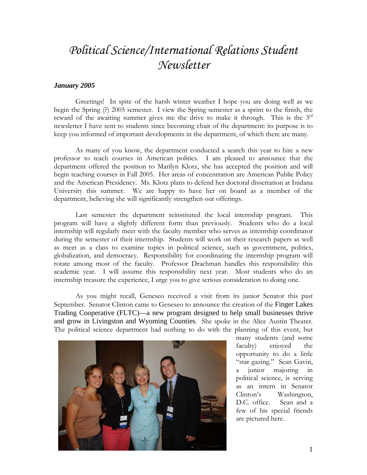## *Political Science/International Relations Student Newsletter*

## *January 2005*

Greetings! In spite of the harsh winter weather I hope you are doing well as we begin the Spring (?) 2005 semester. I view the Spring semester as a sprint to the finish, the reward of the awaiting summer gives me the drive to make it through. This is the  $3<sup>rd</sup>$ newsletter I have sent to students since becoming chair of the department: its purpose is to keep you informed of important developments in the department, of which there are many.

As many of you know, the department conducted a search this year to hire a new professor to teach courses in American politics. I am pleased to announce that the department offered the position to Marilyn Klotz, she has accepted the position and will begin teaching courses in Fall 2005. Her areas of concentration are American Public Policy and the American Presidency. Ms. Klotz plans to defend her doctoral dissertation at Inidana University this summer. We are happy to have her on board as a member of the department, believing she will significantly strengthen our offerings.

 Last semester the department reinstituted the local internship program. This program will have a slightly different form than previously. Students who do a local internship will regularly meet with the faculty member who serves as internship coordinator during the semester of their internship. Students will work on their research papers as well as meet as a class to examine topics in political science, such as government, politics, globalization, and democracy. Responsibility for coordinating the internship program will rotate among most of the faculty. Professor Drachman handles this responsibility this academic year. I will assume this responsibility next year. Most students who do an internship treasure the experience, I urge you to give serious consideration to doing one.

 As you might recall, Geneseo received a visit from its junior Senator this past September. Senator Clinton came to Geneseo to announce the creation of the Finger Lakes Trading Cooperative (FLTC)—a new program designed to help small businesses thrive and grow in Livingston and Wyoming Counties. She spoke in the Alice Austin Theater. The political science department had nothing to do with the planning of this event, but



many students (and some faculty) enjoyed the opportunity to do a little "star gazing." Sean Gavin, a junior majoring in political science, is serving as an intern in Senator Clinton's Washington, D.C. office. Sean and a few of his special friends are pictured here.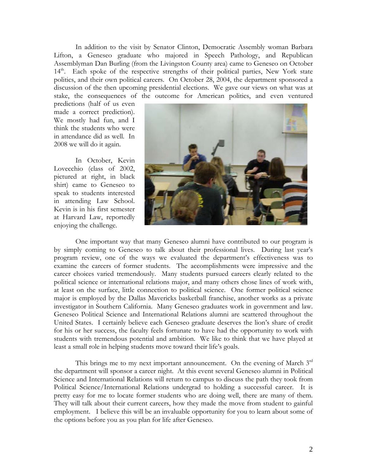In addition to the visit by Senator Clinton, Democratic Assembly woman Barbara Lifton, a Geneseo graduate who majored in Speech Pathology, and Republican Assemblyman Dan Burling (from the Livingston County area) came to Geneseo on October 14<sup>th</sup>. Each spoke of the respective strengths of their political parties, New York state politics, and their own political careers. On October 28, 2004, the department sponsored a discussion of the then upcoming presidential elections. We gave our views on what was at stake, the consequences of the outcome for American politics, and even ventured

predictions (half of us even made a correct prediction). We mostly had fun, and I think the students who were in attendance did as well. In 2008 we will do it again.

 In October, Kevin Lovecchio (class of 2002, pictured at right, in black shirt) came to Geneseo to speak to students interested in attending Law School. Kevin is in his first semester at Harvard Law, reportedly enjoying the challenge.



One important way that many Geneseo alumni have contributed to our program is by simply coming to Geneseo to talk about their professional lives. During last year's program review, one of the ways we evaluated the department's effectiveness was to examine the careers of former students. The accomplishments were impressive and the career choices varied tremendously. Many students pursued careers clearly related to the political science or international relations major, and many others chose lines of work with, at least on the surface, little connection to political science. One former political science major is employed by the Dallas Mavericks basketball franchise, another works as a private investigator in Southern California. Many Geneseo graduates work in government and law. Geneseo Political Science and International Relations alumni are scattered throughout the United States. I certainly believe each Geneseo graduate deserves the lion's share of credit for his or her success, the faculty feels fortunate to have had the opportunity to work with students with tremendous potential and ambition. We like to think that we have played at least a small role in helping students move toward their life's goals.

This brings me to my next important announcement. On the evening of March  $3<sup>rd</sup>$ the department will sponsor a career night. At this event several Geneseo alumni in Political Science and International Relations will return to campus to discuss the path they took from Political Science/International Relations undergrad to holding a successful career. It is pretty easy for me to locate former students who are doing well, there are many of them. They will talk about their current careers, how they made the move from student to gainful employment. I believe this will be an invaluable opportunity for you to learn about some of the options before you as you plan for life after Geneseo.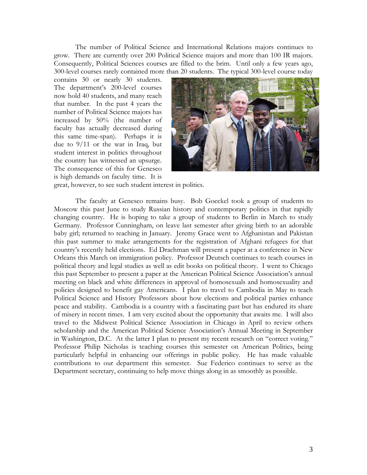The number of Political Science and International Relations majors continues to grow. There are currently over 200 Political Science majors and more than 100 IR majors. Consequently, Political Sciences courses are filled to the brim. Until only a few years ago, 300-level courses rarely contained more than 20 students. The typical 300-level course today

contains 30 or nearly 30 students. The department's 200-level courses now hold 40 students, and many reach that number. In the past 4 years the number of Political Science majors has increased by 50% (the number of faculty has actually decreased during this same time-span). Perhaps it is due to 9/11 or the war in Iraq, but student interest in politics throughout the country has witnessed an upsurge. The consequence of this for Geneseo is high demands on faculty time. It is



great, however, to see such student interest in politics.

 The faculty at Geneseo remains busy. Bob Goeckel took a group of students to Moscow this past June to study Russian history and contemporary politics in that rapidly changing country. He is hoping to take a group of students to Berlin in March to study Germany. Professor Cunningham, on leave last semester after giving birth to an adorable baby girl; returned to teaching in January. Jeremy Grace went to Afghanistan and Pakistan this past summer to make arrangements for the registration of Afghani refugees for that country's recently held elections. Ed Drachman will present a paper at a conference in New Orleans this March on immigration policy. Professor Deutsch continues to teach courses in political theory and legal studies as well as edit books on political theory. I went to Chicago this past September to present a paper at the American Political Science Association's annual meeting on black and white differences in approval of homosexuals and homosexuality and policies designed to benefit gay Americans. I plan to travel to Cambodia in May to teach Political Science and History Professors about how elections and political parties enhance peace and stability. Cambodia is a country with a fascinating past but has endured its share of misery in recent times. I am very excited about the opportunity that awaits me. I will also travel to the Midwest Political Science Association in Chicago in April to review others scholarship and the American Political Science Association's Annual Meeting in September in Washington, D.C. At the latter I plan to present my recent research on "correct voting." Professor Philip Nicholas is teaching courses this semester on American Politics, being particularly helpful in enhancing our offerings in public policy. He has made valuable contributions to our department this semester. Sue Federico continues to serve as the Department secretary, continuing to help move things along in as smoothly as possible.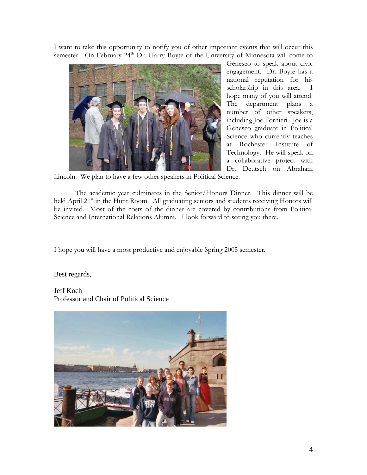I want to take this opportunity to notify you of other important events that will occur this semester. On February  $24<sup>th</sup>$  Dr. Harry Boyte of the University of Minnesota will come to



Geneseo to speak about civic engagement. Dr. Boyte has a national reputation for his scholarship in this area. I hope many of you will attend. The department plans a number of other speakers, including Joe Fornieri. Joe is a Geneseo graduate in Political Science who currently teaches at Rochester Institute of Technology. He will speak on a collaborative project with Dr. Deutsch on Abraham

Lincoln. We plan to have a few other speakers in Political Science.

 The academic year culminates in the Senior/Honors Dinner. This dinner will be held April 21<sup>st</sup> in the Hunt Room. All graduating seniors and students receiving Honors will be invited. Most of the costs of the dinner are covered by contributions from Political Science and International Relations Alumni. I look forward to seeing you there.

I hope you will have a most productive and enjoyable Spring 2005 semester.

Best regards,

Jeff Koch Professor and Chair of Political Science